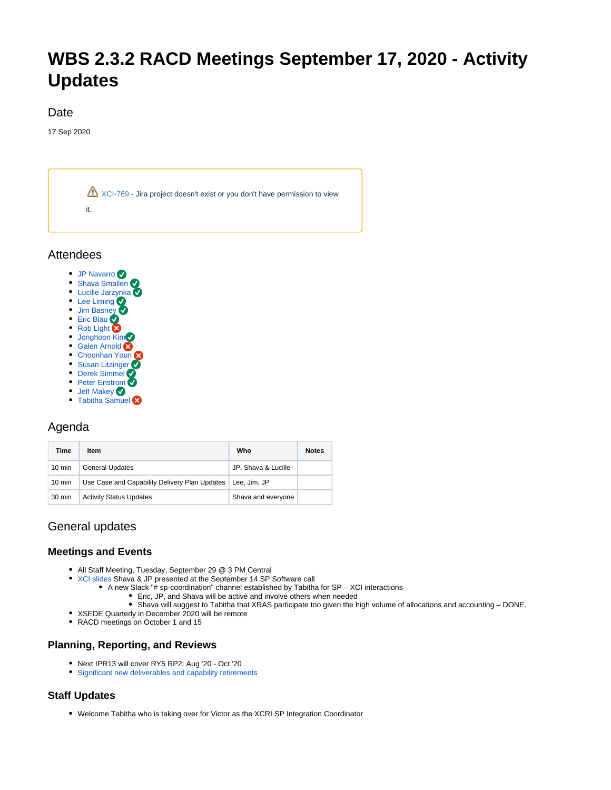# **WBS 2.3.2 RACD Meetings September 17, 2020 - Activity Updates**

#### Date

17 Sep 2020



**Attendees** 

- [JP Navarro](https://confluence.xsede.org/display/~navarro)
- [Shava Smallen](https://confluence.xsede.org/display/~ssmallen)
- **[Lucille Jarzynka](https://confluence.xsede.org/display/~jarzynka)** • [Lee Liming](https://confluence.xsede.org/display/~liming)
- [Jim Basney](https://confluence.xsede.org/display/~jbasney)
- **[Eric Blau](https://confluence.xsede.org/display/~eblau)**
- [Rob Light](https://confluence.xsede.org/display/~light)
- **[Jonghoon Kim](https://confluence.xsede.org/display/~jkm)**
- [Galen Arnold](https://confluence.xsede.org/display/~arnoldg)
- [Choonhan Youn](https://confluence.xsede.org/display/~cyoun)
- **[Susan Litzinger](https://confluence.xsede.org/display/~slitzing)**
- [Derek Simmel](https://confluence.xsede.org/display/~dsimmel) • [Peter Enstrom](https://confluence.xsede.org/display/~enstrom)
- [Jeff Makey](https://confluence.xsede.org/display/~jdmakey)
- [Tabitha Samuel](https://confluence.xsede.org/display/~tsamuel)

# Agenda

| Time             | Item                                          | Who                 | <b>Notes</b> |
|------------------|-----------------------------------------------|---------------------|--------------|
| $10 \text{ min}$ | <b>General Updates</b>                        | JP, Shava & Lucille |              |
| $10 \text{ min}$ | Use Case and Capability Delivery Plan Updates | Lee. Jim. JP        |              |
| 30 min           | <b>Activity Status Updates</b>                | Shava and everyone  |              |

# General updates

## **Meetings and Events**

- All Staff Meeting, Tuesday, September 29 @ 3 PM Central
- [XCI slides](https://docs.google.com/presentation/d/1UiznpFYtpztdXnboU4J-UJ8bkKQudM9d_CBncCvPocM) Shava & JP presented at the September 14 SP Software call
	- A new Slack "# sp-coordination" channel established by Tabitha for SP XCI interactions
		- Eric, JP, and Shava will be active and involve others when needed
		- Shava will suggest to Tabitha that XRAS participate too given the high volume of allocations and accounting DONE.
- XSEDE Quarterly in December 2020 will be remote
- RACD meetings on October 1 and 15

#### **Planning, Reporting, and Reviews**

- Next IPR13 will cover RY5 RP2: Aug '20 Oct '20
- [Significant new deliverables and capability retirements](https://confluence.xsede.org/pages/viewpage.action?pageId=1671340)

## **Staff Updates**

Welcome Tabitha who is taking over for Victor as the XCRI SP Integration Coordinator